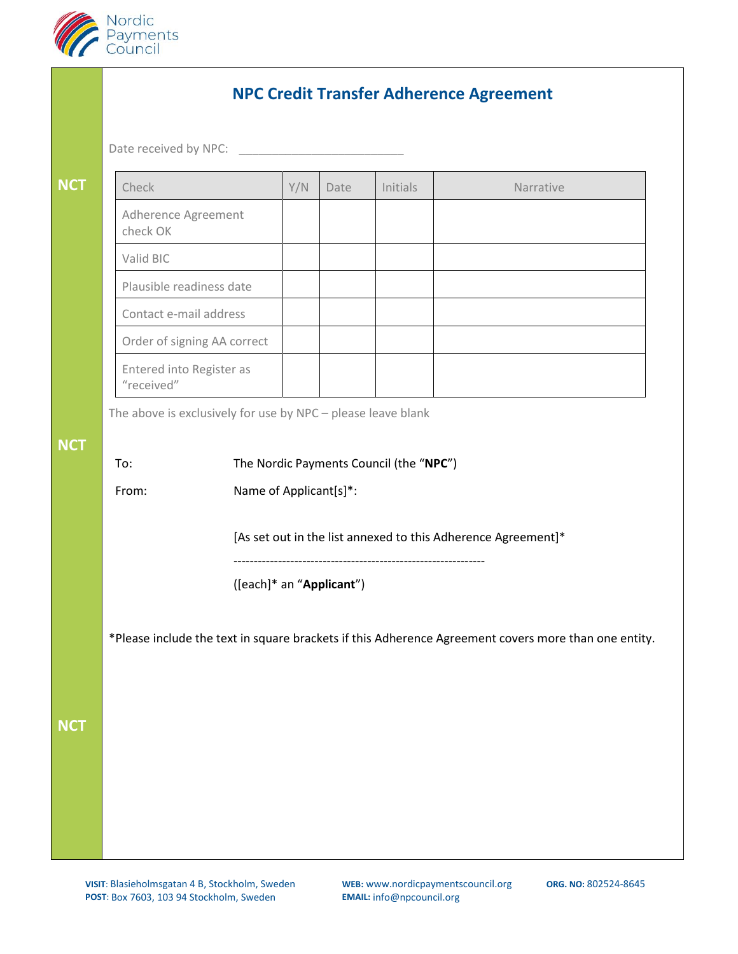

|            | <b>NPC Credit Transfer Adherence Agreement</b>                                                       |                                        |     |      |          |  |           |  |  |
|------------|------------------------------------------------------------------------------------------------------|----------------------------------------|-----|------|----------|--|-----------|--|--|
|            | Date received by NPC:                                                                                |                                        |     |      |          |  |           |  |  |
| <b>NCT</b> |                                                                                                      | Check                                  | Y/N | Date | Initials |  | Narrative |  |  |
|            |                                                                                                      | Adherence Agreement<br>check OK        |     |      |          |  |           |  |  |
|            |                                                                                                      | Valid BIC                              |     |      |          |  |           |  |  |
|            |                                                                                                      | Plausible readiness date               |     |      |          |  |           |  |  |
|            |                                                                                                      | Contact e-mail address                 |     |      |          |  |           |  |  |
|            |                                                                                                      | Order of signing AA correct            |     |      |          |  |           |  |  |
|            |                                                                                                      | Entered into Register as<br>"received" |     |      |          |  |           |  |  |
|            | The above is exclusively for use by NPC - please leave blank                                         |                                        |     |      |          |  |           |  |  |
| <b>NCT</b> |                                                                                                      |                                        |     |      |          |  |           |  |  |
|            | The Nordic Payments Council (the "NPC")<br>To:                                                       |                                        |     |      |          |  |           |  |  |
|            |                                                                                                      | Name of Applicant[s]*:<br>From:        |     |      |          |  |           |  |  |
|            | [As set out in the list annexed to this Adherence Agreement]*                                        |                                        |     |      |          |  |           |  |  |
|            | ([each]* an "Applicant")                                                                             |                                        |     |      |          |  |           |  |  |
|            |                                                                                                      |                                        |     |      |          |  |           |  |  |
|            | *Please include the text in square brackets if this Adherence Agreement covers more than one entity. |                                        |     |      |          |  |           |  |  |
|            |                                                                                                      |                                        |     |      |          |  |           |  |  |
|            |                                                                                                      |                                        |     |      |          |  |           |  |  |
| <b>NCT</b> |                                                                                                      |                                        |     |      |          |  |           |  |  |
|            |                                                                                                      |                                        |     |      |          |  |           |  |  |
|            |                                                                                                      |                                        |     |      |          |  |           |  |  |
|            |                                                                                                      |                                        |     |      |          |  |           |  |  |
|            |                                                                                                      |                                        |     |      |          |  |           |  |  |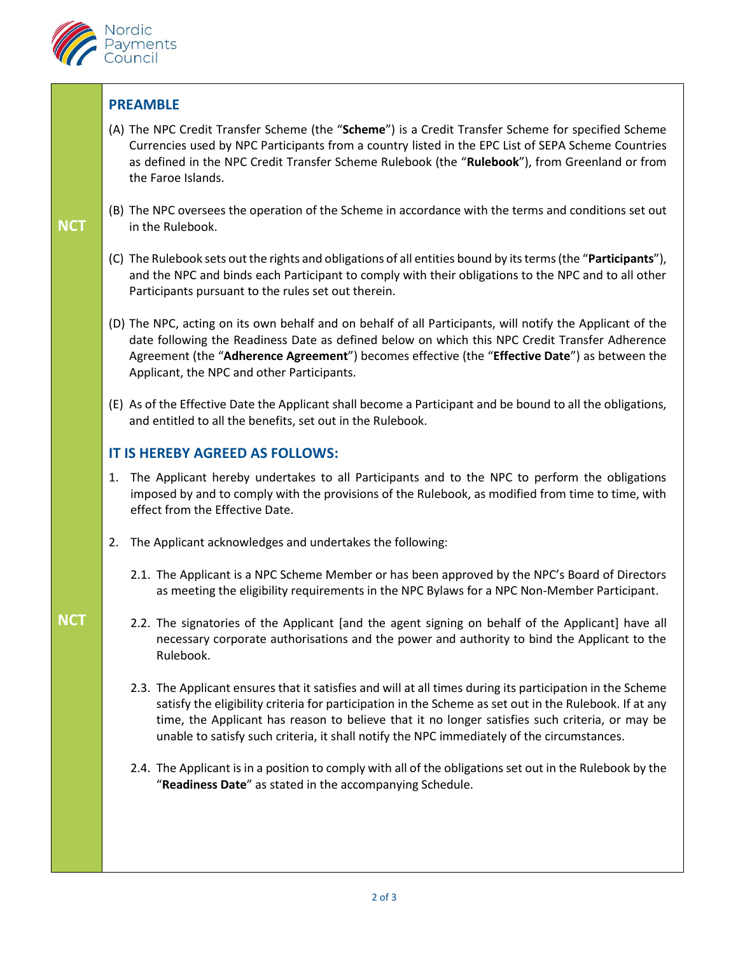

## **PREAMBLE**

- (A) The NPC Credit Transfer Scheme (the "**Scheme**") is a Credit Transfer Scheme for specified Scheme Currencies used by NPC Participants from a country listed in the EPC List of SEPA Scheme Countries as defined in the NPC Credit Transfer Scheme Rulebook (the "**Rulebook**"), from Greenland or from the Faroe Islands.
- (B) The NPC oversees the operation of the Scheme in accordance with the terms and conditions set out in the Rulebook.
- (C) The Rulebook sets out the rights and obligations of all entities bound by its terms (the "**Participants**"), and the NPC and binds each Participant to comply with their obligations to the NPC and to all other Participants pursuant to the rules set out therein.
- (D) The NPC, acting on its own behalf and on behalf of all Participants, will notify the Applicant of the date following the Readiness Date as defined below on which this NPC Credit Transfer Adherence Agreement (the "**Adherence Agreement**") becomes effective (the "**Effective Date**") as between the Applicant, the NPC and other Participants.
- (E) As of the Effective Date the Applicant shall become a Participant and be bound to all the obligations, and entitled to all the benefits, set out in the Rulebook.

## **IT IS HEREBY AGREED AS FOLLOWS:**

- 1. The Applicant hereby undertakes to all Participants and to the NPC to perform the obligations imposed by and to comply with the provisions of the Rulebook, as modified from time to time, with effect from the Effective Date.
- 2. The Applicant acknowledges and undertakes the following:
	- 2.1. The Applicant is a NPC Scheme Member or has been approved by the NPC's Board of Directors as meeting the eligibility requirements in the NPC Bylaws for a NPC Non-Member Participant.
	- 2.2. The signatories of the Applicant [and the agent signing on behalf of the Applicant] have all necessary corporate authorisations and the power and authority to bind the Applicant to the Rulebook.
	- 2.3. The Applicant ensures that it satisfies and will at all times during its participation in the Scheme satisfy the eligibility criteria for participation in the Scheme as set out in the Rulebook. If at any time, the Applicant has reason to believe that it no longer satisfies such criteria, or may be unable to satisfy such criteria, it shall notify the NPC immediately of the circumstances.
	- 2.4. The Applicant is in a position to comply with all of the obligations set out in the Rulebook by the "**Readiness Date**" as stated in the accompanying Schedule.

## **NCT**

**NCT**